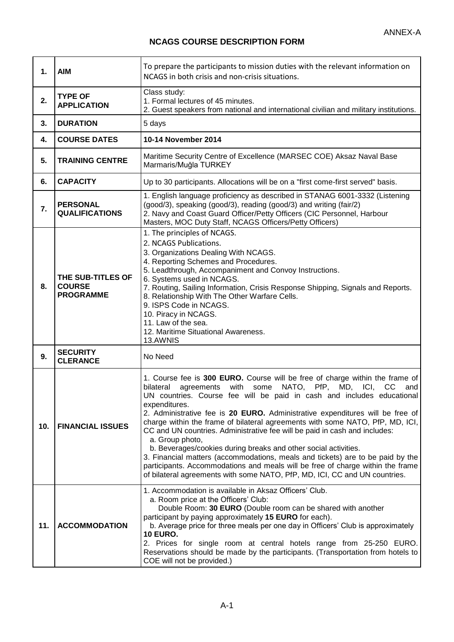÷

## **NCAGS COURSE DESCRIPTION FORM**

۰.

| $\mathbf{1}$ . | <b>AIM</b>                                             | To prepare the participants to mission duties with the relevant information on<br>NCAGS in both crisis and non-crisis situations.                                                                                                                                                                                                                                                                                                                                                                                                                                                                                                                                                                                                                                                                                                           |
|----------------|--------------------------------------------------------|---------------------------------------------------------------------------------------------------------------------------------------------------------------------------------------------------------------------------------------------------------------------------------------------------------------------------------------------------------------------------------------------------------------------------------------------------------------------------------------------------------------------------------------------------------------------------------------------------------------------------------------------------------------------------------------------------------------------------------------------------------------------------------------------------------------------------------------------|
| 2.             | <b>TYPE OF</b><br><b>APPLICATION</b>                   | Class study:<br>1. Formal lectures of 45 minutes.<br>2. Guest speakers from national and international civilian and military institutions.                                                                                                                                                                                                                                                                                                                                                                                                                                                                                                                                                                                                                                                                                                  |
| 3.             | <b>DURATION</b>                                        | 5 days                                                                                                                                                                                                                                                                                                                                                                                                                                                                                                                                                                                                                                                                                                                                                                                                                                      |
| 4.             | <b>COURSE DATES</b>                                    | 10-14 November 2014                                                                                                                                                                                                                                                                                                                                                                                                                                                                                                                                                                                                                                                                                                                                                                                                                         |
| 5.             | <b>TRAINING CENTRE</b>                                 | Maritime Security Centre of Excellence (MARSEC COE) Aksaz Naval Base<br>Marmaris/Muğla TURKEY                                                                                                                                                                                                                                                                                                                                                                                                                                                                                                                                                                                                                                                                                                                                               |
| 6.             | <b>CAPACITY</b>                                        | Up to 30 participants. Allocations will be on a "first come-first served" basis.                                                                                                                                                                                                                                                                                                                                                                                                                                                                                                                                                                                                                                                                                                                                                            |
| 7.             | <b>PERSONAL</b><br><b>QUALIFICATIONS</b>               | 1. English language proficiency as described in STANAG 6001-3332 (Listening<br>(good/3), speaking (good/3), reading (good/3) and writing (fair/2)<br>2. Navy and Coast Guard Officer/Petty Officers (CIC Personnel, Harbour<br>Masters, MOC Duty Staff, NCAGS Officers/Petty Officers)                                                                                                                                                                                                                                                                                                                                                                                                                                                                                                                                                      |
| 8.             | THE SUB-TITLES OF<br><b>COURSE</b><br><b>PROGRAMME</b> | 1. The principles of NCAGS.<br>2. NCAGS Publications.<br>3. Organizations Dealing With NCAGS.<br>4. Reporting Schemes and Procedures.<br>5. Leadthrough, Accompaniment and Convoy Instructions.<br>6. Systems used in NCAGS.<br>7. Routing, Sailing Information, Crisis Response Shipping, Signals and Reports.<br>8. Relationship With The Other Warfare Cells.<br>9. ISPS Code in NCAGS.<br>10. Piracy in NCAGS.<br>11. Law of the sea.<br>12. Maritime Situational Awareness.<br>13.AWNIS                                                                                                                                                                                                                                                                                                                                                |
| 9.             | <b>SECURITY</b><br><b>CLERANCE</b>                     | No Need                                                                                                                                                                                                                                                                                                                                                                                                                                                                                                                                                                                                                                                                                                                                                                                                                                     |
| 10.            | <b>FINANCIAL ISSUES</b>                                | 1. Course fee is 300 EURO. Course will be free of charge within the frame of<br>NATO, PfP, MD, ICI,<br>bilateral<br>agreements with<br>some<br>CC<br>and<br>UN countries. Course fee will be paid in cash and includes educational<br>expenditures.<br>2. Administrative fee is 20 EURO. Administrative expenditures will be free of<br>charge within the frame of bilateral agreements with some NATO, PfP, MD, ICI,<br>CC and UN countries. Administrative fee will be paid in cash and includes:<br>a. Group photo,<br>b. Beverages/cookies during breaks and other social activities.<br>3. Financial matters (accommodations, meals and tickets) are to be paid by the<br>participants. Accommodations and meals will be free of charge within the frame<br>of bilateral agreements with some NATO, PfP, MD, ICI, CC and UN countries. |
| 11.            | <b>ACCOMMODATION</b>                                   | 1. Accommodation is available in Aksaz Officers' Club.<br>a. Room price at the Officers' Club:<br>Double Room: 30 EURO (Double room can be shared with another<br>participant by paying approximately 15 EURO for each).<br>b. Average price for three meals per one day in Officers' Club is approximately<br><b>10 EURO.</b><br>2. Prices for single room at central hotels range from 25-250 EURO.<br>Reservations should be made by the participants. (Transportation from hotels to<br>COE will not be provided.)                                                                                                                                                                                                                                                                                                                      |